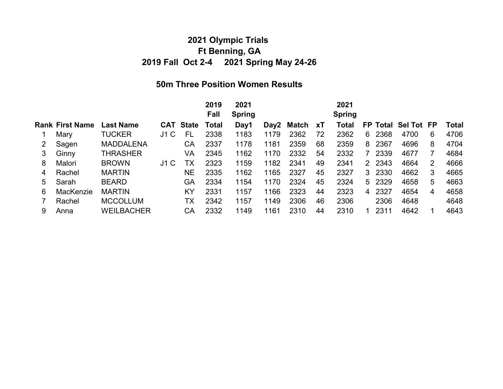## 2021 Olympic Trials Ft Benning, GA 2019 Fall Oct 2-4 2021 Spring May 24-26

## 50m Three Position Women Results

|           |                        |     |           | 2019<br>Fall     | 2021<br><b>Spring</b> |      |      |            | 2021<br><b>Spring</b> |    |      |                          |   |                     |
|-----------|------------------------|-----|-----------|------------------|-----------------------|------|------|------------|-----------------------|----|------|--------------------------|---|---------------------|
|           | <b>Last Name</b>       |     |           | Total            | Day1                  |      |      | XT         | Total                 |    |      |                          |   | Total               |
| Mary      | <b>TUCKER</b>          | J1C | FL        | 2338             | 1183                  | 1179 | 2362 | 72         | 2362                  | 6. | 2368 | 4700                     | 6 | 4706                |
| Sagen     | <b>MADDALENA</b>       |     | СA        | 2337             | 1178                  | 1181 | 2359 | 68         | 2359                  | 8  | 2367 | 4696                     | 8 | 4704                |
| Ginny     | THRASHER               |     | VA        | 2345             | 1162                  | 1170 | 2332 | 54         | 2332                  |    | 2339 | 4677                     |   | 4684                |
| Malori    | <b>BROWN</b>           | J1C | тх        | 2323             | 1159                  | 1182 | 2341 | 49         | 2341                  |    |      | 4664                     | 2 | 4666                |
| Rachel    | <b>MARTIN</b>          |     | <b>NE</b> | 2335             | 1162                  | 1165 | 2327 | 45         | 2327                  |    | 2330 | 4662                     | 3 | 4665                |
| Sarah     | <b>BEARD</b>           |     | GA        | 2334             | 1154                  | 1170 | 2324 | 45         | 2324                  |    |      | 4658                     | 5 | 4663                |
| MacKenzie | <b>MARTIN</b>          |     | KY        | 2331             | 1157                  | 1166 | 2323 | 44         | 2323                  | 4  | 2327 | 4654                     | 4 | 4658                |
| Rachel    | <b>MCCOLLUM</b>        |     | ТX        | 2342             | 1157                  | 1149 | 2306 | 46         | 2306                  |    | 2306 | 4648                     |   | 4648                |
| Anna      | WEILBACHER             |     | CА        | 2332             | 1149                  | 1161 | 2310 | 44         | 2310                  |    | 2311 | 4642                     |   | 4643                |
|           | <b>Rank First Name</b> |     |           | <b>CAT State</b> |                       |      |      | Day2 Match |                       |    |      | 2 2 3 4 3<br>3<br>5 2329 |   | FP Total Sel Tot FP |